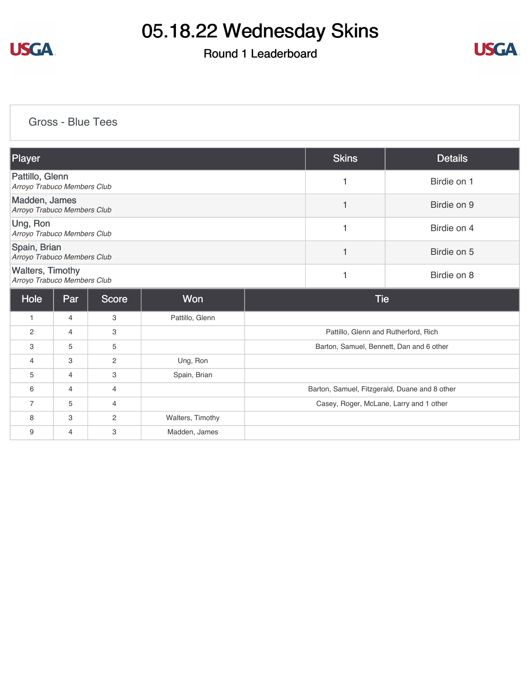

### Round 1 Leaderboard



[Gross - Blue Tees](https://static.golfgenius.com/v2tournaments/8482974784051765664?called_from=&round_index=1)

| Player                                                 |                |              |                  |                                          | <b>Skins</b>                                  | <b>Details</b> |  |
|--------------------------------------------------------|----------------|--------------|------------------|------------------------------------------|-----------------------------------------------|----------------|--|
| Pattillo, Glenn<br>Arroyo Trabuco Members Club         |                |              |                  |                                          | 1                                             | Birdie on 1    |  |
| Madden, James<br>Arroyo Trabuco Members Club           |                |              |                  |                                          | 1                                             | Birdie on 9    |  |
| Ung, Ron<br>Arroyo Trabuco Members Club                |                |              |                  |                                          | 1                                             | Birdie on 4    |  |
| Spain, Brian<br>Arroyo Trabuco Members Club            |                |              |                  |                                          | 1                                             | Birdie on 5    |  |
| <b>Walters, Timothy</b><br>Arroyo Trabuco Members Club |                |              |                  |                                          | 1                                             | Birdie on 8    |  |
| Hole                                                   | Par            | <b>Score</b> | Won              |                                          | <b>Tie</b>                                    |                |  |
| $\mathbf{1}$                                           | 4              | 3            | Pattillo, Glenn  |                                          |                                               |                |  |
| 2                                                      | 4              | 3            |                  | Pattillo, Glenn and Rutherford, Rich     |                                               |                |  |
| 3                                                      | 5              | 5            |                  | Barton, Samuel, Bennett, Dan and 6 other |                                               |                |  |
| 4                                                      | 3              | 2            | Ung, Ron         |                                          |                                               |                |  |
| 5                                                      | $\overline{4}$ | 3            | Spain, Brian     |                                          |                                               |                |  |
| 6                                                      | 4              | 4            |                  |                                          | Barton, Samuel, Fitzgerald, Duane and 8 other |                |  |
| 7                                                      | 5              | 4            |                  | Casey, Roger, McLane, Larry and 1 other  |                                               |                |  |
| 8                                                      | 3              | $\mathbf{2}$ | Walters, Timothy |                                          |                                               |                |  |
| 9                                                      | 4              | 3            | Madden, James    |                                          |                                               |                |  |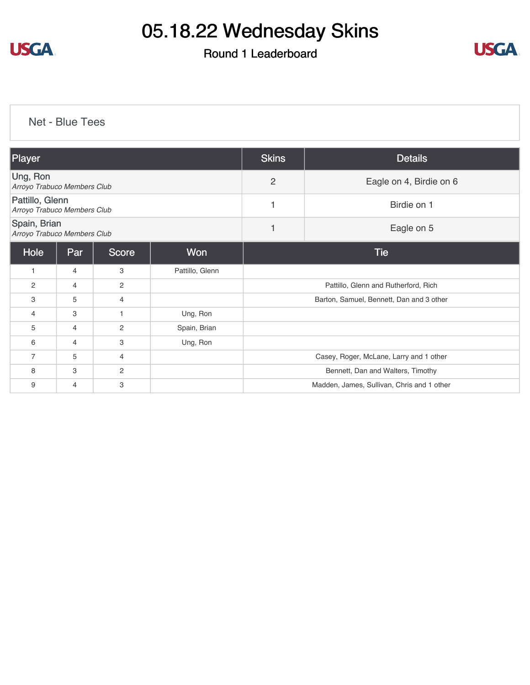

### Round 1 Leaderboard



[Net - Blue Tees](https://static.golfgenius.com/v2tournaments/8482975660090876321?called_from=&round_index=1)

| Player                                         |                                                |                |                 | <b>Skins</b>                               | <b>Details</b> |  |  |
|------------------------------------------------|------------------------------------------------|----------------|-----------------|--------------------------------------------|----------------|--|--|
| Ung, Ron<br>Arroyo Trabuco Members Club        |                                                |                |                 | 2<br>Eagle on 4, Birdie on 6               |                |  |  |
| Pattillo, Glenn<br>Arroyo Trabuco Members Club |                                                |                |                 | 1                                          | Birdie on 1    |  |  |
| Spain, Brian                                   | Eagle on 5<br>1<br>Arroyo Trabuco Members Club |                |                 |                                            |                |  |  |
| Hole                                           | Par                                            | <b>Score</b>   | Won             | <b>Tie</b>                                 |                |  |  |
| $\mathbf{1}$                                   | 4                                              | 3              | Pattillo, Glenn |                                            |                |  |  |
| 2                                              | 4                                              | 2              |                 | Pattillo, Glenn and Rutherford, Rich       |                |  |  |
| 3                                              | 5                                              | $\overline{4}$ |                 | Barton, Samuel, Bennett, Dan and 3 other   |                |  |  |
| $\overline{4}$                                 | 3                                              | 1              | Ung, Ron        |                                            |                |  |  |
| 5                                              | 4                                              | $\overline{c}$ | Spain, Brian    |                                            |                |  |  |
| 6                                              | $\overline{4}$                                 | 3              | Ung, Ron        |                                            |                |  |  |
| $\overline{7}$                                 | 5                                              | 4              |                 | Casey, Roger, McLane, Larry and 1 other    |                |  |  |
| 8                                              | 3                                              | 2              |                 | Bennett, Dan and Walters, Timothy          |                |  |  |
| 9                                              | 4                                              | 3              |                 | Madden, James, Sullivan, Chris and 1 other |                |  |  |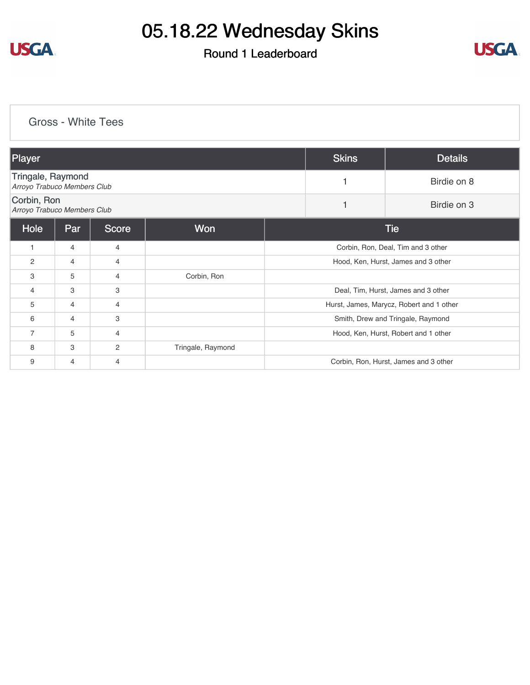

### Round 1 Leaderboard



#### [Gross - White Tees](https://static.golfgenius.com/v2tournaments/8482976519252107682?called_from=&round_index=1)

| Player                                           |                |                |                   |                                          | <b>Skins</b> | <b>Details</b>                        |
|--------------------------------------------------|----------------|----------------|-------------------|------------------------------------------|--------------|---------------------------------------|
| Tringale, Raymond<br>Arroyo Trabuco Members Club |                |                |                   |                                          |              | Birdie on 8                           |
| Corbin, Ron<br>Arroyo Trabuco Members Club       |                |                |                   |                                          |              | Birdie on 3                           |
| Hole                                             | Par            | Score          | Won               | <b>Tie</b>                               |              |                                       |
| 1                                                | $\overline{4}$ | 4              |                   | Corbin, Ron, Deal, Tim and 3 other       |              |                                       |
| $\overline{2}$                                   | $\overline{4}$ | 4              |                   | Hood, Ken, Hurst, James and 3 other      |              |                                       |
| 3                                                | 5              | 4              | Corbin, Ron       |                                          |              |                                       |
| 4                                                | 3              | 3              |                   | Deal, Tim, Hurst, James and 3 other      |              |                                       |
| 5                                                | 4              | 4              |                   | Hurst, James, Marycz, Robert and 1 other |              |                                       |
| 6                                                | $\overline{4}$ | З              |                   | Smith, Drew and Tringale, Raymond        |              |                                       |
| $\overline{7}$                                   | 5              | 4              |                   | Hood, Ken, Hurst, Robert and 1 other     |              |                                       |
| 8                                                | 3              | $\overline{c}$ | Tringale, Raymond |                                          |              |                                       |
| 9                                                | 4              | 4              |                   |                                          |              | Corbin, Ron, Hurst, James and 3 other |